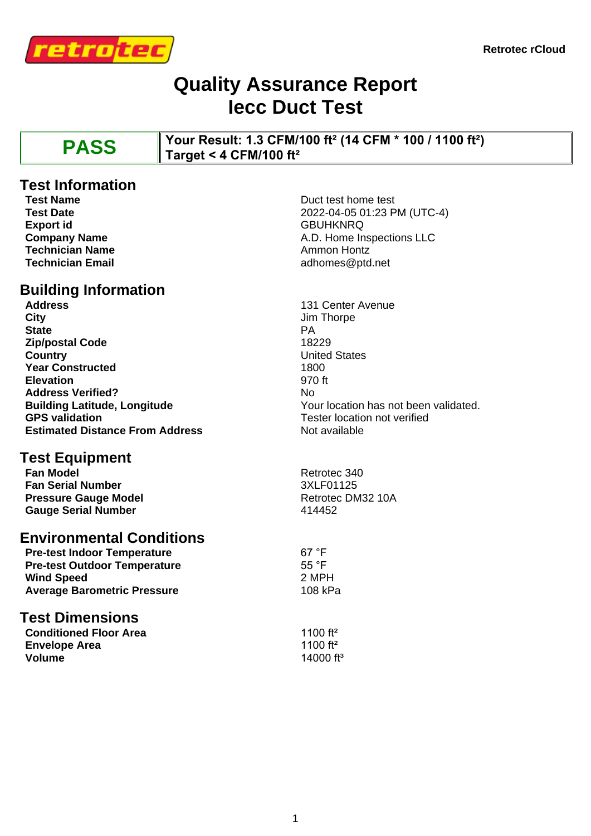

### **Quality Assurance Report Iecc Duct Test**

**PASS Your Result: 1.3 CFM/100 ft² (14 CFM \* 100 / 1100 ft²) Target < 4 CFM/100 ft²**

# **Test Information**<br>Test Name

**Export id** GBUHKNRQ **Technician Name Ammon Hontz Ammon Hontz Technician Email** adhomes@ptd.net

# **Building Information**

**City** Jim Thorpe **State** PA **Zip/postal Code** 18229 **Country** United States **Year Constructed** 1800 **Elevation** 970 ft Address Verified? No **Estimated Distance From Address** Not available

## **Test Equipment**<br>Fan Model

**Fan Serial Number** 3XLF01125 **Pressure Gauge Model** Retrotec DM32 10A Gauge Serial Number<br>
414452

#### **Environmental Conditions**

| <b>Pre-test Indoor Temperature</b>  | $67°$ F        |
|-------------------------------------|----------------|
| <b>Pre-test Outdoor Temperature</b> | 55 $\degree$ F |
| <b>Wind Speed</b>                   | 2 MPH          |
| <b>Average Barometric Pressure</b>  | 108 kP         |

#### **Test Dimensions**

| <b>Conditioned Floor Area</b> | 1100 ft <sup>2</sup>  |
|-------------------------------|-----------------------|
| <b>Envelope Area</b>          | 1100 ft <sup>2</sup>  |
| <b>Volume</b>                 | 14000 ft <sup>3</sup> |

**Test Name** Duct test home test<br> **Test Date** 2022-04-05 01:23 P **Test Date** 2022-04-05 01:23 PM (UTC-4) **Company Name A.D.** Home Inspections LLC

**Address** 131 Center Avenue **Building Latitude, Longitude National State of Congress Provident Congress Provident CPS validated.**<br> **GPS validation**<br> **GPS validation** Tester location not verified

**Retrotec 340** 

**108 kPa**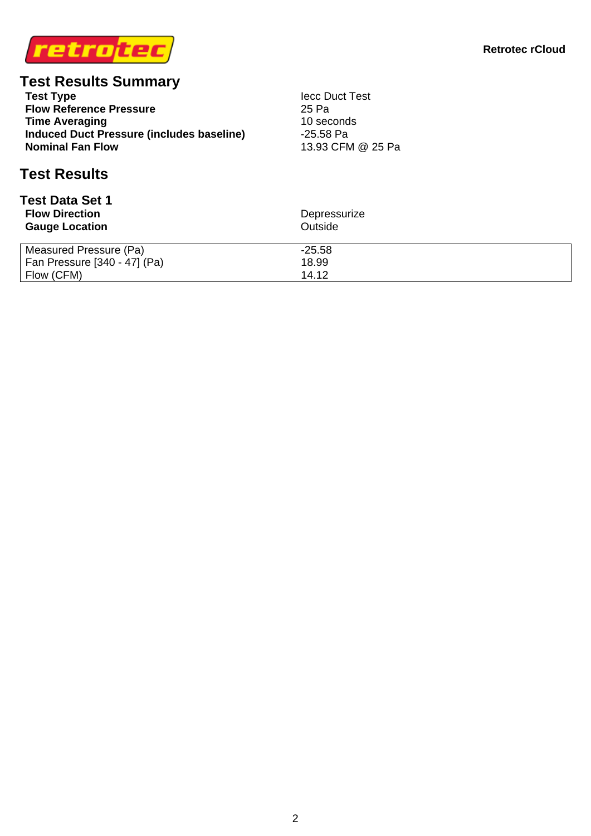

# **Test Results Summary**<br>Test Type

**Flow Reference Pressure** 25 Pa<br> **Time Averaging** 25 Pa<br>
26 Pa **Time Averaging Induced Duct Pressure (includes baseline)** 45.58 Pa<br>**Nominal Fan Flow** 13.93 CFN

**Tecc Duct Test**<br>25 Pa 13.93 CFM @ 25 Pa

#### **Test Results**

| <b>Test Data Set 1</b><br><b>Flow Direction</b><br><b>Gauge Location</b> | Depressurize<br>Outside |  |  |
|--------------------------------------------------------------------------|-------------------------|--|--|
| Measured Pressure (Pa)                                                   | $-25.58$                |  |  |
| Fan Pressure [340 - 47] (Pa)                                             | 18.99                   |  |  |
| Flow (CFM)                                                               | 14.12                   |  |  |